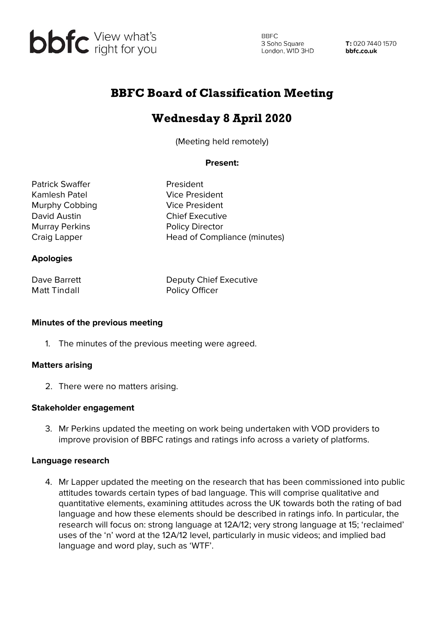

**BBFC** 3 Soho Square<br>London, W1D 3HD 3 Soho Square

T: 020 7440 1570 bbfc.co.uk

## BBFC Board of Classification Meeting

# Wednesday 8 April 2020

(Meeting held remotely)

#### **Present:**

Patrick Swaffer **President** Kamlesh Patel Vice President Murphy Cobbing **Vice President** David Austin Chief Executive Murray Perkins **Policy Director** 

Craig Lapper **Head of Compliance (minutes)** 

#### **Apologies**

Matt Tindall **Matt Tindall** Policy Officer

Dave Barrett Deputy Chief Executive

#### **Minutes of the previous meeting**

1. The minutes of the previous meeting were agreed.

#### **Matters arising**

2. There were no matters arising.

#### **Stakeholder engagement**

3. Mr Perkins updated the meeting on work being undertaken with VOD providers to improve provision of BBFC ratings and ratings info across a variety of platforms.

#### **Language research**

4. Mr Lapper updated the meeting on the research that has been commissioned into public attitudes towards certain types of bad language. This will comprise qualitative and quantitative elements, examining attitudes across the UK towards both the rating of bad language and how these elements should be described in ratings info. In particular, the research will focus on: strong language at 12A/12; very strong language at 15; 'reclaimed' uses of the 'n' word at the 12A/12 level, particularly in music videos; and implied bad language and word play, such as 'WTF'.